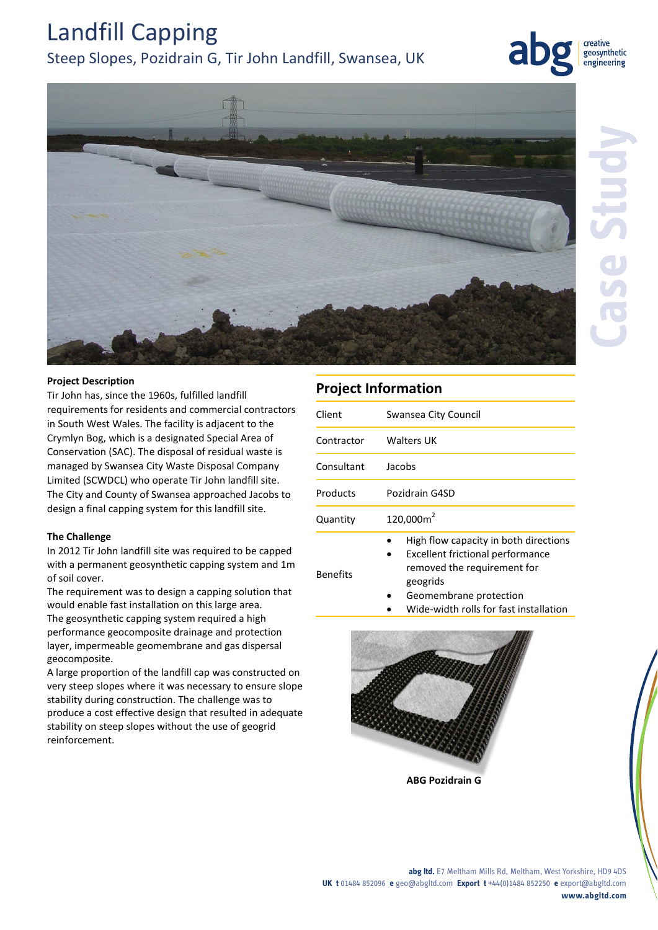# Landfill Capping

## Steep Slopes, Pozidrain G, Tir John Landfill, Swansea, UK



creative geosynthetic engineering



## **Project Description**

Tir John has, since the 1960s, fulfilled landfill requirements for residents and commercial contractors in South West Wales. The facility is adjacent to the Crymlyn Bog, which is a designated Special Area of Conservation (SAC). The disposal of residual waste is managed by Swansea City Waste Disposal Company Limited (SCWDCL) who operate Tir John landfill site. The City and County of Swansea approached Jacobs to design a final capping system for this landfill site.

## **The Challenge**

In 2012 Tir John landfill site was required to be capped with a permanent geosynthetic capping system and 1m of soil cover.

The requirement was to design a capping solution that would enable fast installation on this large area. The geosynthetic capping system required a high performance geocomposite drainage and protection layer, impermeable geomembrane and gas dispersal geocomposite.

A large proportion of the landfill cap was constructed on very steep slopes where it was necessary to ensure slope stability during construction. The challenge was to produce a cost effective design that resulted in adequate stability on steep slopes without the use of geogrid reinforcement.

## **Project Information**

| Client     | Swansea City Council                  |
|------------|---------------------------------------|
| Contractor | Walters UK                            |
| Consultant | Jacobs                                |
| Products   | Pozidrain G4SD                        |
| Quantity   | 120,000m <sup>2</sup>                 |
|            | High flow capacity in both directions |

- Excellent frictional performance
- Benefits
- geogrids Geomembrane protection
- Wide-width rolls for fast installation

removed the requirement for



**ABG Pozidrain G**